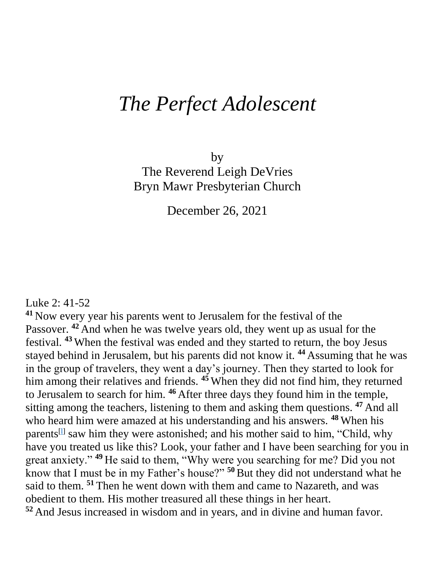## *The Perfect Adolescent*

by The Reverend Leigh DeVries Bryn Mawr Presbyterian Church

December 26, 2021

Luke 2: 41-52

**<sup>41</sup>** Now every year his parents went to Jerusalem for the festival of the Passover. <sup>42</sup> And when he was twelve years old, they went up as usual for the festival. **<sup>43</sup>** When the festival was ended and they started to return, the boy Jesus stayed behind in Jerusalem, but his parents did not know it. **<sup>44</sup>** Assuming that he was in the group of travelers, they went a day's journey. Then they started to look for him among their relatives and friends. **<sup>45</sup>** When they did not find him, they returned to Jerusalem to search for him. **<sup>46</sup>** After three days they found him in the temple, sitting among the teachers, listening to them and asking them questions. **<sup>47</sup>** And all who heard him were amazed at his understanding and his answers. **<sup>48</sup>** When his parents<sup>[1]</sup> saw him they were astonished; and his mother said to him, "Child, why have you treated us like this? Look, your father and I have been searching for you in great anxiety." **<sup>49</sup>** He said to them, "Why were you searching for me? Did you not know that I must be in my Father's house?" **<sup>50</sup>**But they did not understand what he said to them. **<sup>51</sup>** Then he went down with them and came to Nazareth, and was obedient to them. His mother treasured all these things in her heart. **<sup>52</sup>** And Jesus increased in wisdom and in years, and in divine and human favor.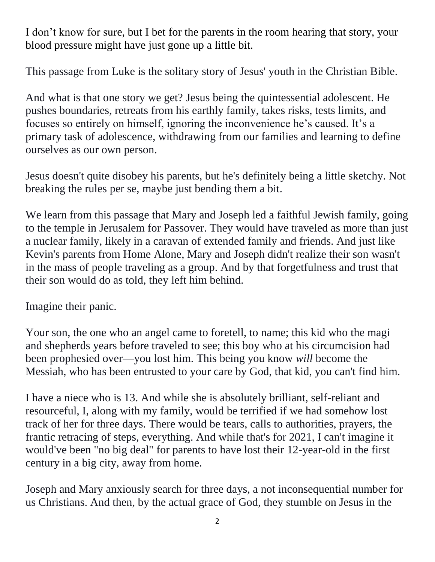I don't know for sure, but I bet for the parents in the room hearing that story, your blood pressure might have just gone up a little bit.

This passage from Luke is the solitary story of Jesus' youth in the Christian Bible.

And what is that one story we get? Jesus being the quintessential adolescent. He pushes boundaries, retreats from his earthly family, takes risks, tests limits, and focuses so entirely on himself, ignoring the inconvenience he's caused. It's a primary task of adolescence, withdrawing from our families and learning to define ourselves as our own person.

Jesus doesn't quite disobey his parents, but he's definitely being a little sketchy. Not breaking the rules per se, maybe just bending them a bit.

We learn from this passage that Mary and Joseph led a faithful Jewish family, going to the temple in Jerusalem for Passover. They would have traveled as more than just a nuclear family, likely in a caravan of extended family and friends. And just like Kevin's parents from Home Alone, Mary and Joseph didn't realize their son wasn't in the mass of people traveling as a group. And by that forgetfulness and trust that their son would do as told, they left him behind.

Imagine their panic.

Your son, the one who an angel came to foretell, to name; this kid who the magi and shepherds years before traveled to see; this boy who at his circumcision had been prophesied over—you lost him. This being you know *will* become the Messiah, who has been entrusted to your care by God, that kid, you can't find him.

I have a niece who is 13. And while she is absolutely brilliant, self-reliant and resourceful, I, along with my family, would be terrified if we had somehow lost track of her for three days. There would be tears, calls to authorities, prayers, the frantic retracing of steps, everything. And while that's for 2021, I can't imagine it would've been "no big deal" for parents to have lost their 12-year-old in the first century in a big city, away from home.

Joseph and Mary anxiously search for three days, a not inconsequential number for us Christians. And then, by the actual grace of God, they stumble on Jesus in the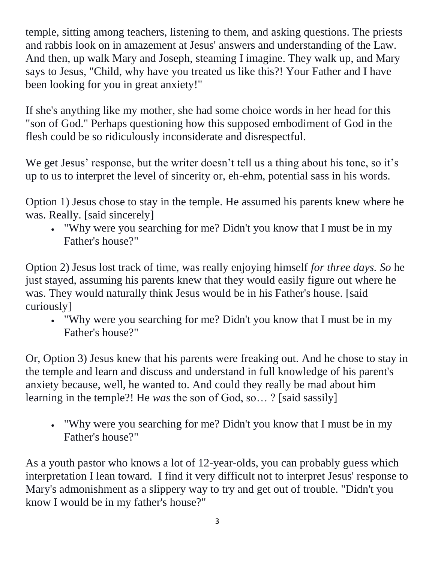temple, sitting among teachers, listening to them, and asking questions. The priests and rabbis look on in amazement at Jesus' answers and understanding of the Law. And then, up walk Mary and Joseph, steaming I imagine. They walk up, and Mary says to Jesus, "Child, why have you treated us like this?! Your Father and I have been looking for you in great anxiety!"

If she's anything like my mother, she had some choice words in her head for this "son of God." Perhaps questioning how this supposed embodiment of God in the flesh could be so ridiculously inconsiderate and disrespectful.

We get Jesus' response, but the writer doesn't tell us a thing about his tone, so it's up to us to interpret the level of sincerity or, eh-ehm, potential sass in his words.

Option 1) Jesus chose to stay in the temple. He assumed his parents knew where he was. Really. [said sincerely]

 "Why were you searching for me? Didn't you know that I must be in my Father's house?"

Option 2) Jesus lost track of time, was really enjoying himself *for three days. So* he just stayed, assuming his parents knew that they would easily figure out where he was. They would naturally think Jesus would be in his Father's house. [said curiously]

 "Why were you searching for me? Didn't you know that I must be in my Father's house?"

Or, Option 3) Jesus knew that his parents were freaking out. And he chose to stay in the temple and learn and discuss and understand in full knowledge of his parent's anxiety because, well, he wanted to. And could they really be mad about him learning in the temple?! He *was* the son of God, so… ? [said sassily]

 "Why were you searching for me? Didn't you know that I must be in my Father's house?"

As a youth pastor who knows a lot of 12-year-olds, you can probably guess which interpretation I lean toward. I find it very difficult not to interpret Jesus' response to Mary's admonishment as a slippery way to try and get out of trouble. "Didn't you know I would be in my father's house?"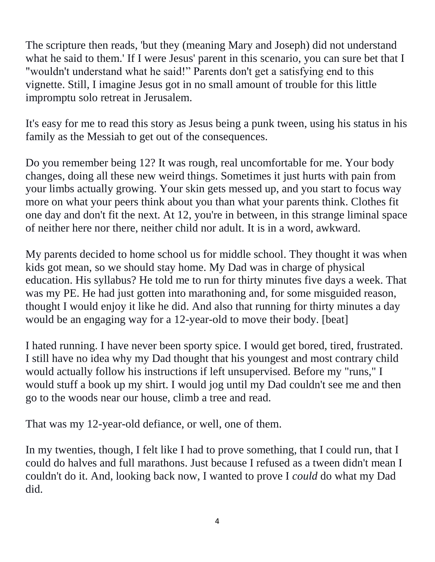The scripture then reads, 'but they (meaning Mary and Joseph) did not understand what he said to them.' If I were Jesus' parent in this scenario, you can sure bet that I "wouldn't understand what he said!" Parents don't get a satisfying end to this vignette. Still, I imagine Jesus got in no small amount of trouble for this little impromptu solo retreat in Jerusalem.

It's easy for me to read this story as Jesus being a punk tween, using his status in his family as the Messiah to get out of the consequences.

Do you remember being 12? It was rough, real uncomfortable for me. Your body changes, doing all these new weird things. Sometimes it just hurts with pain from your limbs actually growing. Your skin gets messed up, and you start to focus way more on what your peers think about you than what your parents think. Clothes fit one day and don't fit the next. At 12, you're in between, in this strange liminal space of neither here nor there, neither child nor adult. It is in a word, awkward.

My parents decided to home school us for middle school. They thought it was when kids got mean, so we should stay home. My Dad was in charge of physical education. His syllabus? He told me to run for thirty minutes five days a week. That was my PE. He had just gotten into marathoning and, for some misguided reason, thought I would enjoy it like he did. And also that running for thirty minutes a day would be an engaging way for a 12-year-old to move their body. [beat]

I hated running. I have never been sporty spice. I would get bored, tired, frustrated. I still have no idea why my Dad thought that his youngest and most contrary child would actually follow his instructions if left unsupervised. Before my "runs," I would stuff a book up my shirt. I would jog until my Dad couldn't see me and then go to the woods near our house, climb a tree and read.

That was my 12-year-old defiance, or well, one of them.

In my twenties, though, I felt like I had to prove something, that I could run, that I could do halves and full marathons. Just because I refused as a tween didn't mean I couldn't do it. And, looking back now, I wanted to prove I *could* do what my Dad did.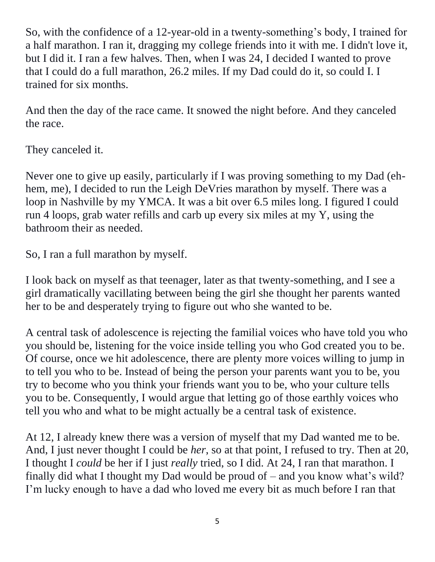So, with the confidence of a 12-year-old in a twenty-something's body, I trained for a half marathon. I ran it, dragging my college friends into it with me. I didn't love it, but I did it. I ran a few halves. Then, when I was 24, I decided I wanted to prove that I could do a full marathon, 26.2 miles. If my Dad could do it, so could I. I trained for six months.

And then the day of the race came. It snowed the night before. And they canceled the race.

They canceled it.

Never one to give up easily, particularly if I was proving something to my Dad (ehhem, me), I decided to run the Leigh DeVries marathon by myself. There was a loop in Nashville by my YMCA. It was a bit over 6.5 miles long. I figured I could run 4 loops, grab water refills and carb up every six miles at my Y, using the bathroom their as needed.

So, I ran a full marathon by myself.

I look back on myself as that teenager, later as that twenty-something, and I see a girl dramatically vacillating between being the girl she thought her parents wanted her to be and desperately trying to figure out who she wanted to be.

A central task of adolescence is rejecting the familial voices who have told you who you should be, listening for the voice inside telling you who God created you to be. Of course, once we hit adolescence, there are plenty more voices willing to jump in to tell you who to be. Instead of being the person your parents want you to be, you try to become who you think your friends want you to be, who your culture tells you to be. Consequently, I would argue that letting go of those earthly voices who tell you who and what to be might actually be a central task of existence.

At 12, I already knew there was a version of myself that my Dad wanted me to be. And, I just never thought I could be *her*, so at that point, I refused to try. Then at 20, I thought I *could* be her if I just *really* tried, so I did. At 24, I ran that marathon. I finally did what I thought my Dad would be proud of – and you know what's wild? I'm lucky enough to have a dad who loved me every bit as much before I ran that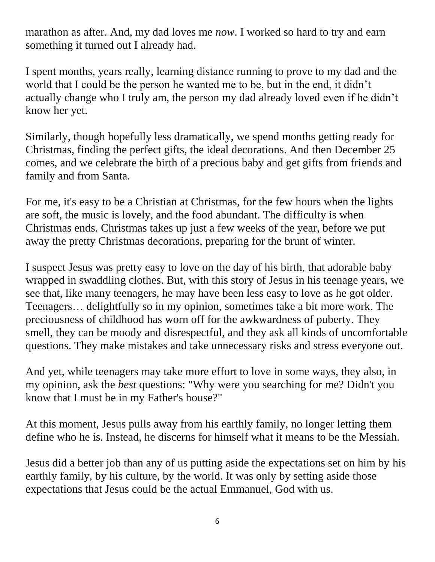marathon as after. And, my dad loves me *now*. I worked so hard to try and earn something it turned out I already had.

I spent months, years really, learning distance running to prove to my dad and the world that I could be the person he wanted me to be, but in the end, it didn't actually change who I truly am, the person my dad already loved even if he didn't know her yet.

Similarly, though hopefully less dramatically, we spend months getting ready for Christmas, finding the perfect gifts, the ideal decorations. And then December 25 comes, and we celebrate the birth of a precious baby and get gifts from friends and family and from Santa.

For me, it's easy to be a Christian at Christmas, for the few hours when the lights are soft, the music is lovely, and the food abundant. The difficulty is when Christmas ends. Christmas takes up just a few weeks of the year, before we put away the pretty Christmas decorations, preparing for the brunt of winter.

I suspect Jesus was pretty easy to love on the day of his birth, that adorable baby wrapped in swaddling clothes. But, with this story of Jesus in his teenage years, we see that, like many teenagers, he may have been less easy to love as he got older. Teenagers… delightfully so in my opinion, sometimes take a bit more work. The preciousness of childhood has worn off for the awkwardness of puberty. They smell, they can be moody and disrespectful, and they ask all kinds of uncomfortable questions. They make mistakes and take unnecessary risks and stress everyone out.

And yet, while teenagers may take more effort to love in some ways, they also, in my opinion, ask the *best* questions: "Why were you searching for me? Didn't you know that I must be in my Father's house?"

At this moment, Jesus pulls away from his earthly family, no longer letting them define who he is. Instead, he discerns for himself what it means to be the Messiah.

Jesus did a better job than any of us putting aside the expectations set on him by his earthly family, by his culture, by the world. It was only by setting aside those expectations that Jesus could be the actual Emmanuel, God with us.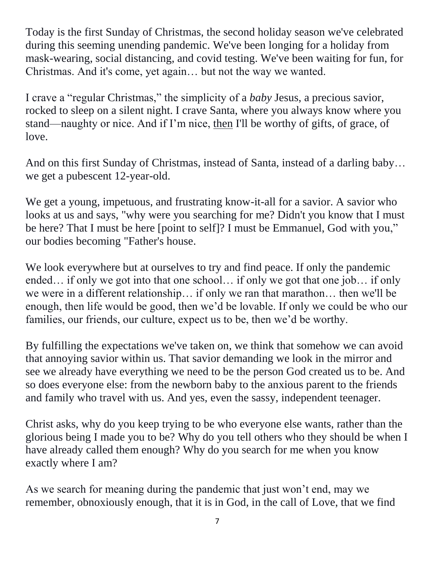Today is the first Sunday of Christmas, the second holiday season we've celebrated during this seeming unending pandemic. We've been longing for a holiday from mask-wearing, social distancing, and covid testing. We've been waiting for fun, for Christmas. And it's come, yet again… but not the way we wanted.

I crave a "regular Christmas," the simplicity of a *baby* Jesus, a precious savior, rocked to sleep on a silent night. I crave Santa, where you always know where you stand—naughty or nice. And if I'm nice, then I'll be worthy of gifts, of grace, of love.

And on this first Sunday of Christmas, instead of Santa, instead of a darling baby… we get a pubescent 12-year-old.

We get a young, impetuous, and frustrating know-it-all for a savior. A savior who looks at us and says, "why were you searching for me? Didn't you know that I must be here? That I must be here [point to self]? I must be Emmanuel, God with you," our bodies becoming "Father's house.

We look everywhere but at ourselves to try and find peace. If only the pandemic ended… if only we got into that one school… if only we got that one job… if only we were in a different relationship… if only we ran that marathon… then we'll be enough, then life would be good, then we'd be lovable. If only we could be who our families, our friends, our culture, expect us to be, then we'd be worthy.

By fulfilling the expectations we've taken on, we think that somehow we can avoid that annoying savior within us. That savior demanding we look in the mirror and see we already have everything we need to be the person God created us to be. And so does everyone else: from the newborn baby to the anxious parent to the friends and family who travel with us. And yes, even the sassy, independent teenager.

Christ asks, why do you keep trying to be who everyone else wants, rather than the glorious being I made you to be? Why do you tell others who they should be when I have already called them enough? Why do you search for me when you know exactly where I am?

As we search for meaning during the pandemic that just won't end, may we remember, obnoxiously enough, that it is in God, in the call of Love, that we find